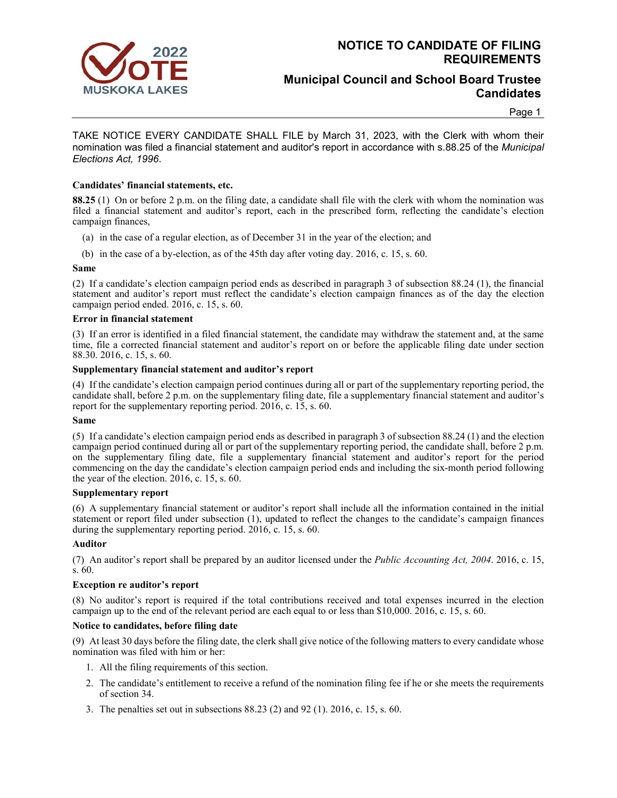

## **NOTICE TO CANDIDATE OF FILING REQUIREMENTS**

## **Municipal Council and School Board Trustee Candidates**

#### Page 1

TAKE NOTICE EVERY CANDIDATE SHALL FILE by March 31, 2023, with the Clerk with whom their nomination was filed a financial statement and auditor's report in accordance with s.88.25 of the *Municipal Elections Act, 1996*.

### **Candidates' financial statements, etc.**

**88.25** (1) On or before 2 p.m. on the filing date, a candidate shall file with the clerk with whom the nomination was filed a financial statement and auditor's report, each in the prescribed form, reflecting the candidate's election campaign finances,

- (a) in the case of a regular election, as of December 31 in the year of the election; and
- (b) in the case of a by-election, as of the 45th day after voting day. 2016, c. 15, s. 60.

#### **Same**

(2) If a candidate's election campaign period ends as described in paragraph 3 of subsection 88.24 (1), the financial statement and auditor's report must reflect the candidate's election campaign finances as of the day the election campaign period ended. 2016, c. 15, s. 60.

#### **Error in financial statement**

(3) If an error is identified in a filed financial statement, the candidate may withdraw the statement and, at the same time, file a corrected financial statement and auditor's report on or before the applicable filing date under section 88.30. 2016, c. 15, s. 60.

#### **Supplementary financial statement and auditor's report**

(4) If the candidate's election campaign period continues during all or part of the supplementary reporting period, the candidate shall, before 2 p.m. on the supplementary filing date, file a supplementary financial statement and auditor's report for the supplementary reporting period. 2016, c. 15, s. 60.

#### **Same**

(5) If a candidate's election campaign period ends as described in paragraph 3 of subsection 88.24 (1) and the election campaign period continued during all or part of the supplementary reporting period, the candidate shall, before 2 p.m. on the supplementary filing date, file a supplementary financial statement and auditor's report for the period commencing on the day the candidate's election campaign period ends and including the six-month period following the year of the election. 2016, c. 15, s. 60.

#### **Supplementary report**

(6) A supplementary financial statement or auditor's report shall include all the information contained in the initial statement or report filed under subsection (1), updated to reflect the changes to the candidate's campaign finances during the supplementary reporting period. 2016, c. 15, s. 60.

#### **Auditor**

(7) An auditor's report shall be prepared by an auditor licensed under the *Public Accounting Act, 2004*. 2016, c. 15, s. 60.

#### **Exception re auditor's report**

(8) No auditor's report is required if the total contributions received and total expenses incurred in the election campaign up to the end of the relevant period are each equal to or less than \$10,000. 2016, c. 15, s. 60.

#### **Notice to candidates, before filing date**

(9) At least 30 days before the filing date, the clerk shall give notice of the following matters to every candidate whose nomination was filed with him or her:

- 1. All the filing requirements of this section.
- 2. The candidate's entitlement to receive a refund of the nomination filing fee if he or she meets the requirements of section 34.
- 3. The penalties set out in subsections 88.23 (2) and 92 (1). 2016, c. 15, s. 60.